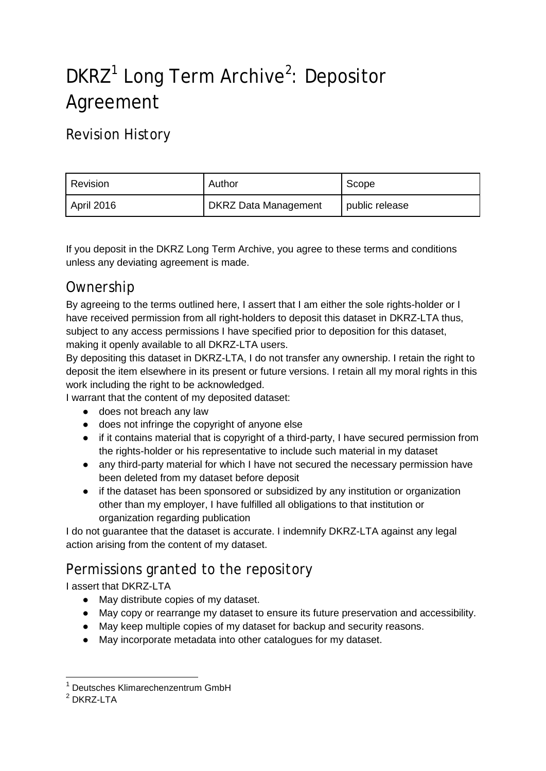# DKRZ<sup>[1](#page-0-0)</sup> Long Term Archive<sup>[2](#page-0-1)</sup>: Depositor Agreement

# Revision History

| Revision          | Author                      | Scope          |
|-------------------|-----------------------------|----------------|
| <b>April 2016</b> | <b>DKRZ Data Management</b> | public release |

If you deposit in the DKRZ Long Term Archive, you agree to these terms and conditions unless any deviating agreement is made.

#### Ownership

By agreeing to the terms outlined here, I assert that I am either the sole rights-holder or I have received permission from all right-holders to deposit this dataset in DKRZ-LTA thus, subject to any access permissions I have specified prior to deposition for this dataset, making it openly available to all DKRZ-LTA users.

By depositing this dataset in DKRZ-LTA, I do not transfer any ownership. I retain the right to deposit the item elsewhere in its present or future versions. I retain all my moral rights in this work including the right to be acknowledged.

I warrant that the content of my deposited dataset:

- does not breach any law
- does not infringe the copyright of anyone else
- if it contains material that is copyright of a third-party, I have secured permission from the rights-holder or his representative to include such material in my dataset
- any third-party material for which I have not secured the necessary permission have been deleted from my dataset before deposit
- if the dataset has been sponsored or subsidized by any institution or organization other than my employer, I have fulfilled all obligations to that institution or organization regarding publication

I do not guarantee that the dataset is accurate. I indemnify DKRZ-LTA against any legal action arising from the content of my dataset.

### Permissions granted to the repository

I assert that DKRZ-LTA

- May distribute copies of my dataset.
- May copy or rearrange my dataset to ensure its future preservation and accessibility.
- May keep multiple copies of my dataset for backup and security reasons.
- May incorporate metadata into other catalogues for my dataset.

<span id="page-0-0"></span> <sup>1</sup> Deutsches Klimarechenzentrum GmbH

<span id="page-0-1"></span> $2$  DKRZ-LTA